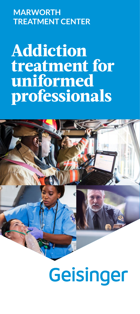**MARWORTH TREATMENT CENTER**

## **Addiction treatment for uniformed professionals**



# **Geisinger**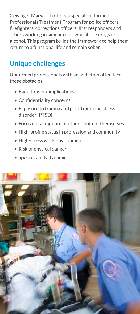Geisinger Marworth offers a special Uniformed Professionals Treatment Program for police officers, firefighters, corrections officers, first responders and others working in similar roles who abuse drugs or alcohol. This program builds the framework to help them return to a functional life and remain sober.

#### **Unique challenges**

Uniformed professionals with an addiction often face these obstacles:

- Back-to-work implications
- Confidentiality concerns
- Exposure to trauma and post-traumatic stress disorder (PTSD)
- Focus on taking care of others, but not themselves
- High-profile status in profession and community
- High-stress work environment
- Risk of physical danger
- Special family dynamics

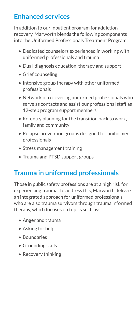#### **Enhanced services**

In addition to our inpatient program for addiction recovery, Marworth blends the following components into the Uniformed Professionals Treatment Program:

- Dedicated counselors experienced in working with uniformed professionals and trauma
- Dual-diagnosis education, therapy and support
- Grief counseling
- Intensive group therapy with other uniformed professionals
- Network of recovering uniformed professionals who serve as contacts and assist our professional staff as 12-step program support members
- Re-entry planning for the transition back to work, family and community
- Relapse prevention groups designed for uniformed professionals
- Stress management training
- Trauma and PTSD support groups

#### **Trauma in uniformed professionals**

Those in public safety professions are at a high risk for experiencing trauma. To address this, Marworth delivers an integrated approach for uniformed professionals who are also trauma survivors through trauma informed therapy, which focuses on topics such as:

- Anger and trauma
- Asking for help
- Boundaries
- Grounding skills
- Recovery thinking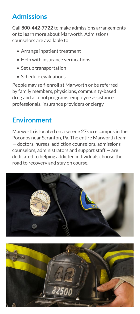#### **Admissions**

Call **800-442-7722** to make admissions arrangements or to learn more about Marworth. Admissions counselors are available to:

- Arrange inpatient treatment
- Help with insurance verifications
- Set up transportation
- Schedule evaluations

People may self-enroll at Marworth or be referred by family members, physicians, community-based drug and alcohol programs, employee assistance professionals, insurance providers or clergy.

#### **Environment**

Marworth is located on a serene 27-acre campus in the Poconos near Scranton, Pa. The entire Marworth team — doctors, nurses, addiction counselors, admissions counselors, administrators and support staff — are dedicated to helping addicted individuals choose the road to recovery and stay on course.



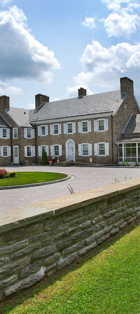